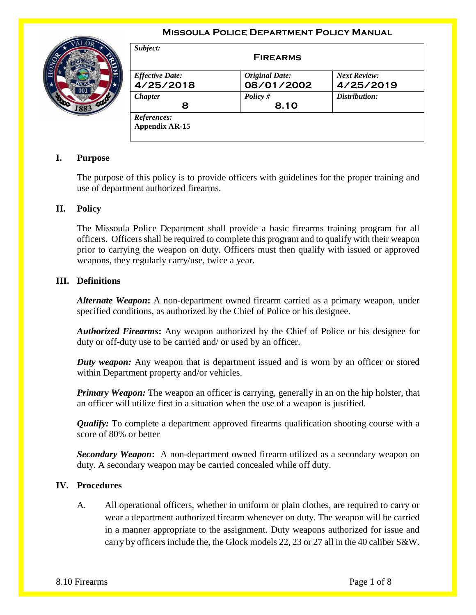### **Missoula Police Department Policy Manual**



| <b>Effective Date:</b> | <b>Original Date:</b> | <b>Next Review:</b> |
|------------------------|-----------------------|---------------------|
| 4/25/2018              | 08/01/2002            | 4/25/2019           |
| <b>Chapter</b>         | Policy $#$            | Distribution:       |
| 8                      | 8.10                  |                     |

# **I. Purpose**

The purpose of this policy is to provide officers with guidelines for the proper training and use of department authorized firearms.

## **II. Policy**

The Missoula Police Department shall provide a basic firearms training program for all officers. Officers shall be required to complete this program and to qualify with their weapon prior to carrying the weapon on duty. Officers must then qualify with issued or approved weapons, they regularly carry/use, twice a year.

### **III. Definitions**

*Alternate Weapon***:** A non-department owned firearm carried as a primary weapon, under specified conditions, as authorized by the Chief of Police or his designee.

*Authorized Firearms***:** Any weapon authorized by the Chief of Police or his designee for duty or off-duty use to be carried and/ or used by an officer.

*Duty weapon:* Any weapon that is department issued and is worn by an officer or stored within Department property and/or vehicles.

*Primary Weapon:* The weapon an officer is carrying, generally in an on the hip holster, that an officer will utilize first in a situation when the use of a weapon is justified.

*Qualify:* To complete a department approved firearms qualification shooting course with a score of 80% or better

*Secondary Weapon***:** A non-department owned firearm utilized as a secondary weapon on duty. A secondary weapon may be carried concealed while off duty.

#### **IV. Procedures**

A. All operational officers, whether in uniform or plain clothes, are required to carry or wear a department authorized firearm whenever on duty. The weapon will be carried in a manner appropriate to the assignment. Duty weapons authorized for issue and carry by officers include the, the Glock models 22, 23 or 27 all in the 40 caliber S&W.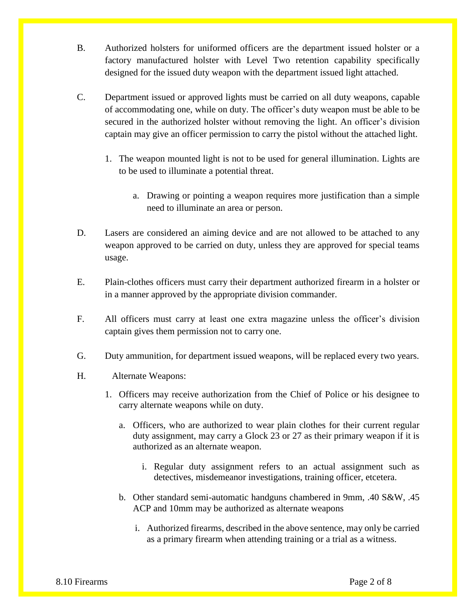- B. Authorized holsters for uniformed officers are the department issued holster or a factory manufactured holster with Level Two retention capability specifically designed for the issued duty weapon with the department issued light attached.
- C. Department issued or approved lights must be carried on all duty weapons, capable of accommodating one, while on duty. The officer's duty weapon must be able to be secured in the authorized holster without removing the light. An officer's division captain may give an officer permission to carry the pistol without the attached light.
	- 1. The weapon mounted light is not to be used for general illumination. Lights are to be used to illuminate a potential threat.
		- a. Drawing or pointing a weapon requires more justification than a simple need to illuminate an area or person.
- D. Lasers are considered an aiming device and are not allowed to be attached to any weapon approved to be carried on duty, unless they are approved for special teams usage.
- E. Plain-clothes officers must carry their department authorized firearm in a holster or in a manner approved by the appropriate division commander.
- F. All officers must carry at least one extra magazine unless the officer's division captain gives them permission not to carry one.
- G. Duty ammunition, for department issued weapons, will be replaced every two years.
- H. Alternate Weapons:
	- 1. Officers may receive authorization from the Chief of Police or his designee to carry alternate weapons while on duty.
		- a. Officers, who are authorized to wear plain clothes for their current regular duty assignment, may carry a Glock 23 or 27 as their primary weapon if it is authorized as an alternate weapon.
			- i. Regular duty assignment refers to an actual assignment such as detectives, misdemeanor investigations, training officer, etcetera.
		- b. Other standard semi-automatic handguns chambered in 9mm, .40 S&W, .45 ACP and 10mm may be authorized as alternate weapons
			- i. Authorized firearms, described in the above sentence, may only be carried as a primary firearm when attending training or a trial as a witness.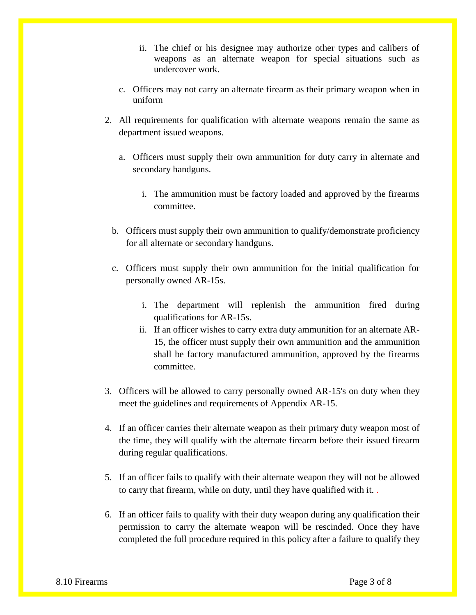- ii. The chief or his designee may authorize other types and calibers of weapons as an alternate weapon for special situations such as undercover work.
- c. Officers may not carry an alternate firearm as their primary weapon when in uniform
- 2. All requirements for qualification with alternate weapons remain the same as department issued weapons.
	- a. Officers must supply their own ammunition for duty carry in alternate and secondary handguns.
		- i. The ammunition must be factory loaded and approved by the firearms committee.
	- b. Officers must supply their own ammunition to qualify/demonstrate proficiency for all alternate or secondary handguns.
	- c. Officers must supply their own ammunition for the initial qualification for personally owned AR-15s.
		- i. The department will replenish the ammunition fired during qualifications for AR-15s.
		- ii. If an officer wishes to carry extra duty ammunition for an alternate AR-15, the officer must supply their own ammunition and the ammunition shall be factory manufactured ammunition, approved by the firearms committee.
- 3. Officers will be allowed to carry personally owned AR-15's on duty when they meet the guidelines and requirements of Appendix AR-15.
- 4. If an officer carries their alternate weapon as their primary duty weapon most of the time, they will qualify with the alternate firearm before their issued firearm during regular qualifications.
- 5. If an officer fails to qualify with their alternate weapon they will not be allowed to carry that firearm, while on duty, until they have qualified with it. .
- 6. If an officer fails to qualify with their duty weapon during any qualification their permission to carry the alternate weapon will be rescinded. Once they have completed the full procedure required in this policy after a failure to qualify they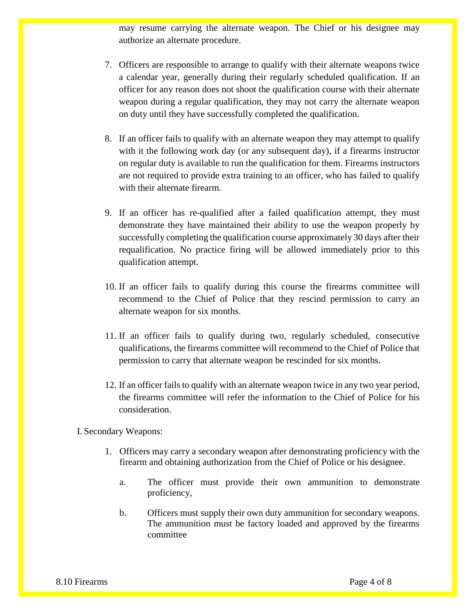may resume carrying the alternate weapon. The Chief or his designee may authorize an alternate procedure.

- 7. Officers are responsible to arrange to qualify with their alternate weapons twice a calendar year, generally during their regularly scheduled qualification. If an officer for any reason does not shoot the qualification course with their alternate weapon during a regular qualification, they may not carry the alternate weapon on duty until they have successfully completed the qualification.
- 8. If an officer fails to qualify with an alternate weapon they may attempt to qualify with it the following work day (or any subsequent day), if a firearms instructor on regular duty is available to run the qualification for them. Firearms instructors are not required to provide extra training to an officer, who has failed to qualify with their alternate firearm.
- 9. If an officer has re-qualified after a failed qualification attempt, they must demonstrate they have maintained their ability to use the weapon properly by successfully completing the qualification course approximately 30 days after their requalification. No practice firing will be allowed immediately prior to this qualification attempt.
- 10. If an officer fails to qualify during this course the firearms committee will recommend to the Chief of Police that they rescind permission to carry an alternate weapon for six months.
- 11. If an officer fails to qualify during two, regularly scheduled, consecutive qualifications, the firearms committee will recommend to the Chief of Police that permission to carry that alternate weapon be rescinded for six months.
- 12. If an officer fails to qualify with an alternate weapon twice in any two year period, the firearms committee will refer the information to the Chief of Police for his consideration.

I. Secondary Weapons:

- 1. Officers may carry a secondary weapon after demonstrating proficiency with the firearm and obtaining authorization from the Chief of Police or his designee.
	- a. The officer must provide their own ammunition to demonstrate proficiency,
	- b. Officers must supply their own duty ammunition for secondary weapons. The ammunition must be factory loaded and approved by the firearms committee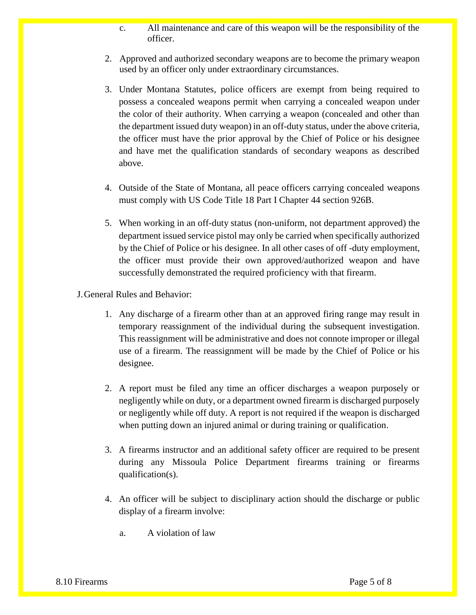- c. All maintenance and care of this weapon will be the responsibility of the officer.
- 2. Approved and authorized secondary weapons are to become the primary weapon used by an officer only under extraordinary circumstances.
- 3. Under Montana Statutes, police officers are exempt from being required to possess a concealed weapons permit when carrying a concealed weapon under the color of their authority. When carrying a weapon (concealed and other than the department issued duty weapon) in an off-duty status, under the above criteria, the officer must have the prior approval by the Chief of Police or his designee and have met the qualification standards of secondary weapons as described above.
- 4. Outside of the State of Montana, all peace officers carrying concealed weapons must comply with US Code Title 18 Part I Chapter 44 section 926B.
- 5. When working in an off-duty status (non-uniform, not department approved) the department issued service pistol may only be carried when specifically authorized by the Chief of Police or his designee. In all other cases of off -duty employment, the officer must provide their own approved/authorized weapon and have successfully demonstrated the required proficiency with that firearm.
- J.General Rules and Behavior:
	- 1. Any discharge of a firearm other than at an approved firing range may result in temporary reassignment of the individual during the subsequent investigation. This reassignment will be administrative and does not connote improper or illegal use of a firearm. The reassignment will be made by the Chief of Police or his designee.
	- 2. A report must be filed any time an officer discharges a weapon purposely or negligently while on duty, or a department owned firearm is discharged purposely or negligently while off duty. A report is not required if the weapon is discharged when putting down an injured animal or during training or qualification.
	- 3. A firearms instructor and an additional safety officer are required to be present during any Missoula Police Department firearms training or firearms qualification(s).
	- 4. An officer will be subject to disciplinary action should the discharge or public display of a firearm involve:
		- a. A violation of law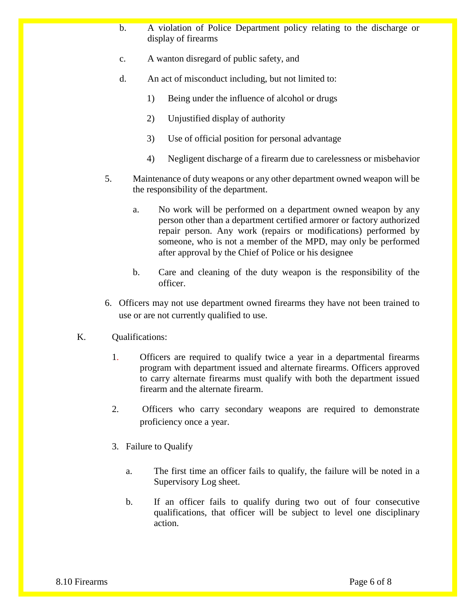- b. A violation of Police Department policy relating to the discharge or display of firearms
- c. A wanton disregard of public safety, and
- d. An act of misconduct including, but not limited to:
	- 1) Being under the influence of alcohol or drugs
	- 2) Unjustified display of authority
	- 3) Use of official position for personal advantage
	- 4) Negligent discharge of a firearm due to carelessness or misbehavior
- 5. Maintenance of duty weapons or any other department owned weapon will be the responsibility of the department.
	- a. No work will be performed on a department owned weapon by any person other than a department certified armorer or factory authorized repair person. Any work (repairs or modifications) performed by someone, who is not a member of the MPD, may only be performed after approval by the Chief of Police or his designee
	- b. Care and cleaning of the duty weapon is the responsibility of the officer.
- 6. Officers may not use department owned firearms they have not been trained to use or are not currently qualified to use.
- K. Qualifications:
	- 1. Officers are required to qualify twice a year in a departmental firearms program with department issued and alternate firearms. Officers approved to carry alternate firearms must qualify with both the department issued firearm and the alternate firearm.
	- 2. Officers who carry secondary weapons are required to demonstrate proficiency once a year.
	- 3. Failure to Qualify
		- a. The first time an officer fails to qualify, the failure will be noted in a Supervisory Log sheet.
		- b. If an officer fails to qualify during two out of four consecutive qualifications, that officer will be subject to level one disciplinary action.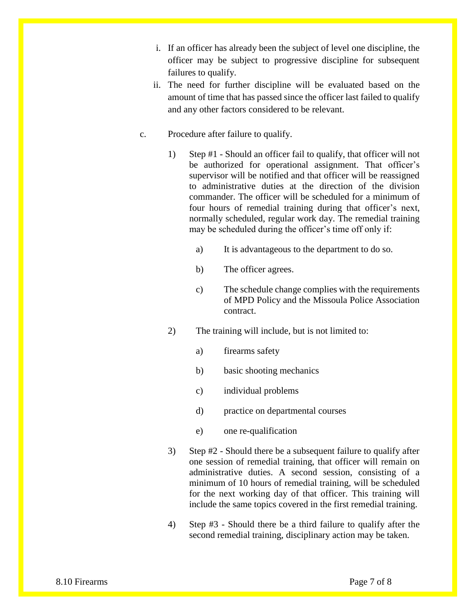- i. If an officer has already been the subject of level one discipline, the officer may be subject to progressive discipline for subsequent failures to qualify.
- ii. The need for further discipline will be evaluated based on the amount of time that has passed since the officer last failed to qualify and any other factors considered to be relevant.
- c. Procedure after failure to qualify.
	- 1) Step #1 Should an officer fail to qualify, that officer will not be authorized for operational assignment. That officer's supervisor will be notified and that officer will be reassigned to administrative duties at the direction of the division commander. The officer will be scheduled for a minimum of four hours of remedial training during that officer's next, normally scheduled, regular work day. The remedial training may be scheduled during the officer's time off only if:
		- a) It is advantageous to the department to do so.
		- b) The officer agrees.
		- c) The schedule change complies with the requirements of MPD Policy and the Missoula Police Association contract.
	- 2) The training will include, but is not limited to:
		- a) firearms safety
		- b) basic shooting mechanics
		- c) individual problems
		- d) practice on departmental courses
		- e) one re-qualification
	- 3) Step #2 Should there be a subsequent failure to qualify after one session of remedial training, that officer will remain on administrative duties. A second session, consisting of a minimum of 10 hours of remedial training, will be scheduled for the next working day of that officer. This training will include the same topics covered in the first remedial training.
	- 4) Step #3 Should there be a third failure to qualify after the second remedial training, disciplinary action may be taken.